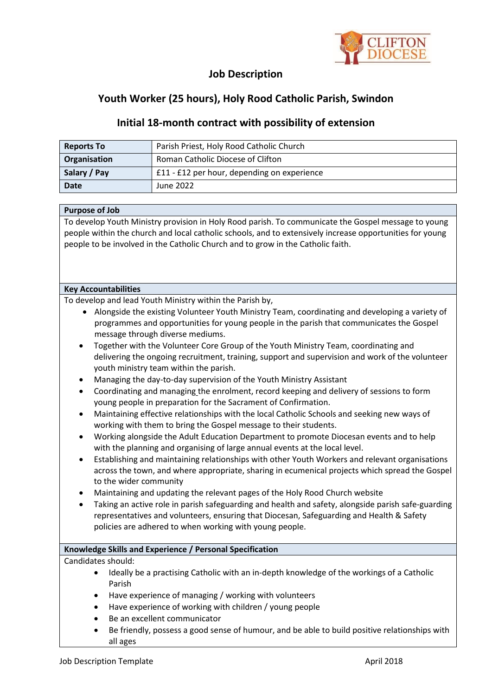

## **Job Description**

# **Youth Worker (25 hours), Holy Rood Catholic Parish, Swindon**

### **Initial 18-month contract with possibility of extension**

| <b>Reports To</b> | Parish Priest, Holy Rood Catholic Church    |  |
|-------------------|---------------------------------------------|--|
| Organisation      | Roman Catholic Diocese of Clifton           |  |
| Salary / Pay      | £11 - £12 per hour, depending on experience |  |
| <b>Date</b>       | June 2022                                   |  |

#### **Purpose of Job**

To develop Youth Ministry provision in Holy Rood parish. To communicate the Gospel message to young people within the church and local catholic schools, and to extensively increase opportunities for young people to be involved in the Catholic Church and to grow in the Catholic faith.

#### **Key Accountabilities**

To develop and lead Youth Ministry within the Parish by,

- Alongside the existing Volunteer Youth Ministry Team, coordinating and developing a variety of programmes and opportunities for young people in the parish that communicates the Gospel message through diverse mediums.
- Together with the Volunteer Core Group of the Youth Ministry Team, coordinating and delivering the ongoing recruitment, training, support and supervision and work of the volunteer youth ministry team within the parish.
- Managing the day-to-day supervision of the Youth Ministry Assistant
- Coordinating and managing the enrolment, record keeping and delivery of sessions to form young people in preparation for the Sacrament of Confirmation.
- Maintaining effective relationships with the local Catholic Schools and seeking new ways of working with them to bring the Gospel message to their students.
- Working alongside the Adult Education Department to promote Diocesan events and to help with the planning and organising of large annual events at the local level.
- Establishing and maintaining relationships with other Youth Workers and relevant organisations across the town, and where appropriate, sharing in ecumenical projects which spread the Gospel to the wider community
- Maintaining and updating the relevant pages of the Holy Rood Church website
- Taking an active role in parish safeguarding and health and safety, alongside parish safe-guarding representatives and volunteers, ensuring that Diocesan, Safeguarding and Health & Safety policies are adhered to when working with young people.

### **Knowledge Skills and Experience / Personal Specification**

Candidates should:

- Ideally be a practising Catholic with an in-depth knowledge of the workings of a Catholic Parish
- Have experience of managing / working with volunteers
- Have experience of working with children / young people
- Be an excellent communicator
- Be friendly, possess a good sense of humour, and be able to build positive relationships with all ages